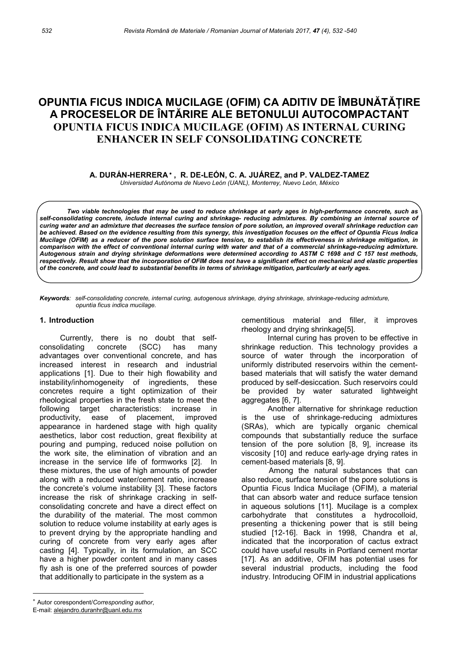# OPUNTIA FICUS INDICA MUCILAGE (OFIM) CA ADITIV DE ÎMBUNĂTĂȚIRE A PROCESELOR DE ÎNTĂRIRE ALE BETONULUI AUTOCOMPACTANT OPUNTIA FICUS INDICA MUCILAGE (OFIM) AS INTERNAL CURING ENHANCER IN SELF CONSOLIDATING CONCRETE

A. DURÁN-HERRERA\*, R. DE-LEÓN, C. A. JUÁREZ, and P. VALDEZ-TAMEZ

Universidad Autónoma de Nuevo León (UANL), Monterrey, Nuevo León, México

Two viable technologies that may be used to reduce shrinkage at early ages in high-performance concrete, such as self-consolidating concrete, include internal curing and shrinkage- reducing admixtures. By combining an internal source of curing water and an admixture that decreases the surface tension of pore solution, an improved overall shrinkage reduction can be achieved. Based on the evidence resulting from this synergy, this investigation focuses on the effect of Opuntia Ficus Indica Mucilage (OFIM) as a reducer of the pore solution surface tension, to establish its effectiveness in shrinkage mitigation, in comparison with the effect of conventional internal curing with water and that of a commercial shrinkage-reducing admixture. Autogenous strain and drying shrinkage deformations were determined according to ASTM C 1698 and C 157 test methods, respectively. Result show that the incorporation of OFIM does not have a significant effect on mechanical and elastic properties of the concrete, and could lead to substantial benefits in terms of shrinkage mitigation, particularly at early ages.

Keywords: self-consolidating concrete, internal curing, autogenous shrinkage, drying shrinkage, shrinkage-reducing admixture, opuntia ficus indica mucilage.

#### 1. Introduction

Currently, there is no doubt that selfconsolidating concrete (SCC) has many advantages over conventional concrete, and has increased interest in research and industrial applications [1]. Due to their high flowability and instability/inhomogeneity of ingredients, these concretes require a tight optimization of their rheological properties in the fresh state to meet the following target characteristics: increase in productivity, ease of placement, improved appearance in hardened stage with high quality aesthetics, labor cost reduction, great flexibility at pouring and pumping, reduced noise pollution on the work site, the elimination of vibration and an increase in the service life of formworks [2]. In these mixtures, the use of high amounts of powder along with a reduced water/cement ratio, increase the concrete's volume instability [3]. These factors increase the risk of shrinkage cracking in selfconsolidating concrete and have a direct effect on the durability of the material. The most common solution to reduce volume instability at early ages is to prevent drying by the appropriate handling and curing of concrete from very early ages after casting [4]. Typically, in its formulation, an SCC have a higher powder content and in many cases fly ash is one of the preferred sources of powder that additionally to participate in the system as a

Internal curing has proven to be effective in shrinkage reduction. This technology provides a source of water through the incorporation of uniformly distributed reservoirs within the cementbased materials that will satisfy the water demand produced by self-desiccation. Such reservoirs could be provided by water saturated lightweight aggregates [6, 7].

Another alternative for shrinkage reduction is the use of shrinkage-reducing admixtures (SRAs), which are typically organic chemical compounds that substantially reduce the surface tension of the pore solution [8, 9], increase its viscosity [10] and reduce early-age drying rates in cement-based materials [8, 9].

Among the natural substances that can also reduce, surface tension of the pore solutions is Opuntia Ficus Indica Mucilage (OFIM), a material that can absorb water and reduce surface tension in aqueous solutions [11]. Mucilage is a complex carbohydrate that constitutes a hydrocolloid, presenting a thickening power that is still being studied [12-16]. Back in 1998, Chandra et al, indicated that the incorporation of cactus extract could have useful results in Portland cement mortar [17]. As an additive, OFIM has potential uses for several industrial products, including the food industry. Introducing OFIM in industrial applications

cementitious material and filler, it improves rheology and drying shrinkage[5].

Autor corespondent/Corresponding author,

E-mail: alejandro.duranhr@uanl.edu.mx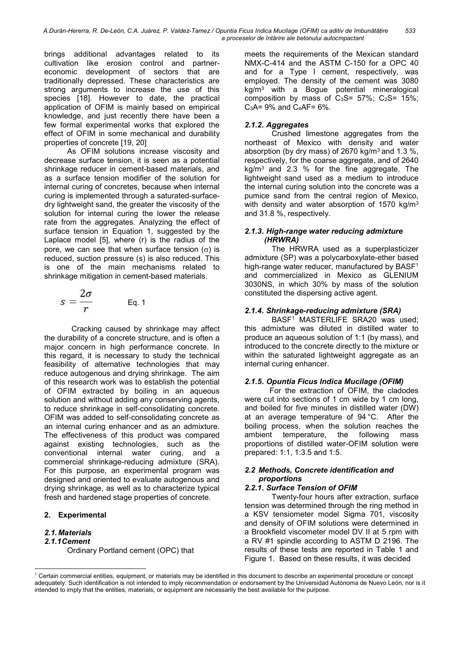brings additional advantages related to its cultivation like erosion control and partnereconomic development of sectors that are traditionally depressed. These characteristics are strong arguments to increase the use of this species [18]. However to date, the practical application of OFIM is mainly based on empirical knowledge, and just recently there have been a few formal experimental works that explored the effect of OFIM in some mechanical and durability properties of concrete [19, 20]

As OFIM solutions increase viscosity and decrease surface tension, it is seen as a potential shrinkage reducer in cement-based materials, and as a surface tension modifier of the solution for internal curing of concretes, because when internal curing is implemented through a saturated-surfacedry lightweight sand, the greater the viscosity of the solution for internal curing the lower the release rate from the aggregates. Analyzing the effect of surface tension in Equation 1, suggested by the Laplace model [5], where (r) is the radius of the pore, we can see that when surface tension  $(\sigma)$  is reduced, suction pressure (s) is also reduced. This is one of the main mechanisms related to shrinkage mitigation in cement-based materials.

$$
s=\frac{2\sigma}{r} \qquad \qquad \text{Eq. 1}
$$

Cracking caused by shrinkage may affect the durability of a concrete structure, and is often a major concern in high performance concrete. In this regard, it is necessary to study the technical feasibility of alternative technologies that may reduce autogenous and drying shrinkage. The aim of this research work was to establish the potential of OFIM extracted by boiling in an aqueous solution and without adding any conserving agents, to reduce shrinkage in self-consolidating concrete. OFIM was added to self-consolidating concrete as an internal curing enhancer and as an admixture. The effectiveness of this product was compared against existing technologies, such as the conventional internal water curing, and a commercial shrinkage-reducing admixture (SRA). For this purpose, an experimental program was designed and oriented to evaluate autogenous and drying shrinkage, as well as to characterize typical fresh and hardened stage properties of concrete.

## 2. Experimental

## 2.1. Materials

## 2.1.1 Cement

-

Ordinary Portland cement (OPC) that

meets the requirements of the Mexican standard NMX-C-414 and the ASTM C-150 for a OPC 40 and for a Type I cement, respectively, was employed. The density of the cement was 3080  $kg/m<sup>3</sup>$  with a Bogue potential mineralogical composition by mass of  $C_3S = 57\%$ ;  $C_2S = 15\%$ ;  $C_3A = 9\%$  and  $C_4AF = 6\%$ .

## 2.1.2. Aggregates

Crushed limestone aggregates from the northeast of Mexico with density and water absorption (by dry mass) of 2670 kg/m<sup>3</sup> and 1.3 %, respectively, for the coarse aggregate, and of 2640  $kg/m<sup>3</sup>$  and 2.3 % for the fine aggregate. The lightweight sand used as a medium to introduce the internal curing solution into the concrete was a pumice sand from the central region of Mexico, with density and water absorption of 1570 kg/ $m<sup>3</sup>$ and 31.8 %, respectively.

## 2.1.3 . High-range water reducing admixture (HRWRA)

The HRWRA used as a superplasticizer admixture (SP) was a polycarboxylate-ether based high-range water reducer, manufactured by BASF<sup>1</sup> and commercialized in Mexico as GLENIUM 3030NS, in which 30% by mass of the solution constituted the dispersing active agent.

## 2.1.4 . Shrinkage-reducing admixture (SRA)

BASF<sup>1</sup> MASTERLIFE SRA20 was used; this admixture was diluted in distilled water to produce an aqueous solution of 1:1 (by mass), and introduced to the concrete directly to the mixture or within the saturated lightweight aggregate as an internal curing enhancer.

## 2.1.5 . Opuntia Ficus Indica Mucilage (OFIM)

For the extraction of OFIM, the cladodes were cut into sections of 1 cm wide by 1 cm long, and boiled for five minutes in distilled water (DW) at an average temperature of 94 °C. After the boiling process, when the solution reaches the ambient temperature, the following mass proportions of distilled water-OFIM solution were prepared: 1:1, 1:3.5 and 1:5.

## 2.2 Methods, Concrete identification and proportions

## 2.2.1 . Surface Tension of OFIM

Twenty-four hours after extraction, surface tension was determined through the ring method in a KSV tensiometer model Sigma 701, viscosity and density of OFIM solutions were determined in a Brookfield viscometer model DV II at 5 rpm with a RV #1 spindle according to ASTM D 2196. The results of these tests are reported in Table 1 and Figure 1. Based on these results, it was decided

<sup>&</sup>lt;sup>1</sup> Certain commercial entities, equipment, or materials may be identified in this document to describe an experimental procedure or concept adequately. Such identification is not intended to imply recommendation or endorsement by the Universidad Autónoma de Nuevo León, nor is it intended to imply that the entities, materials, or equipment are necessarily the best available for the purpose.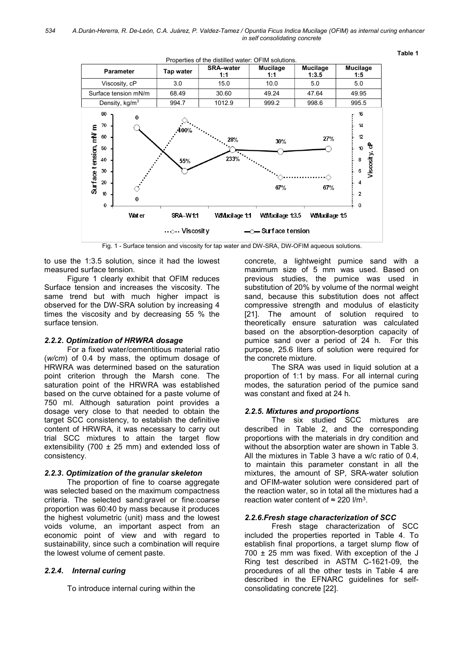

Fig. 1 - Surface tension and viscosity for tap water and DW-SRA, DW-OFIM aqueous solutions.

to use the 1:3.5 solution, since it had the lowest measured surface tension.

Figure 1 clearly exhibit that OFIM reduces Surface tension and increases the viscosity. The same trend but with much higher impact is observed for the DW-SRA solution by increasing 4 times the viscosity and by decreasing 55 % the surface tension.

#### 2.2.2 . Optimization of HRWRA dosage

For a fixed water/cementitious material ratio (w/cm) of 0.4 by mass, the optimum dosage of HRWRA was determined based on the saturation point criterion through the Marsh cone. The saturation point of the HRWRA was established based on the curve obtained for a paste volume of 750 ml. Although saturation point provides a dosage very close to that needed to obtain the target SCC consistency, to establish the definitive content of HRWRA, it was necessary to carry out trial SCC mixtures to attain the target flow extensibility (700  $\pm$  25 mm) and extended loss of consistency.

#### 2.2.3 . Optimization of the granular skeleton

The proportion of fine to coarse aggregate was selected based on the maximum compactness criteria. The selected sand:gravel or fine:coarse proportion was 60:40 by mass because it produces the highest volumetric (unit) mass and the lowest voids volume, an important aspect from an economic point of view and with regard to sustainability, since such a combination will require the lowest volume of cement paste.

### 2.2.4. Internal curing

To introduce internal curing within the

concrete, a lightweight pumice sand with a maximum size of 5 mm was used. Based on previous studies, the pumice was used in substitution of 20% by volume of the normal weight sand, because this substitution does not affect compressive strength and modulus of elasticity [21]. The amount of solution required to theoretically ensure saturation was calculated based on the absorption-desorption capacity of pumice sand over a period of 24 h. For this purpose, 25.6 liters of solution were required for the concrete mixture.

The SRA was used in liquid solution at a proportion of 1:1 by mass. For all internal curing modes, the saturation period of the pumice sand was constant and fixed at 24 h.

#### 2.2.5. Mixtures and proportions

The six studied SCC mixtures are described in Table 2, and the corresponding proportions with the materials in dry condition and without the absorption water are shown in Table 3. All the mixtures in Table 3 have a w/c ratio of 0.4, to maintain this parameter constant in all the mixtures, the amount of SP, SRA-water solution and OFIM-water solution were considered part of the reaction water, so in total all the mixtures had a reaction water content of  $\approx$  220 l/m<sup>3</sup>.

#### 2.2.6.Fresh stage characterization of SCC

Fresh stage characterization of SCC included the properties reported in Table 4. To establish final proportions, a target slump flow of  $700 \pm 25$  mm was fixed. With exception of the J Ring test described in ASTM C-1621-09, the procedures of all the other tests in Table 4 are described in the EFNARC guidelines for selfconsolidating concrete [22].

Table 1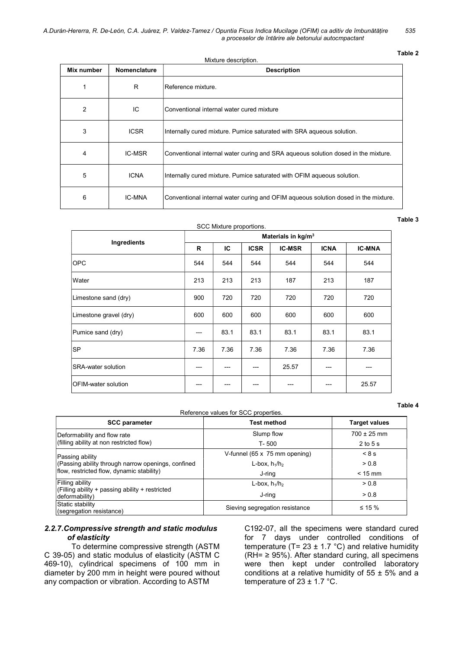Table 2

Table 3

| Mixture description. |              |                                                                                    |  |  |  |  |
|----------------------|--------------|------------------------------------------------------------------------------------|--|--|--|--|
| Mix number           | Nomenclature | <b>Description</b>                                                                 |  |  |  |  |
|                      | R            | Reference mixture.                                                                 |  |  |  |  |
| $\overline{2}$       | IC           | Conventional internal water cured mixture                                          |  |  |  |  |
| 3                    | <b>ICSR</b>  | Internally cured mixture. Pumice saturated with SRA aqueous solution.              |  |  |  |  |
| 4                    | IC-MSR       | Conventional internal water curing and SRA aqueous solution dosed in the mixture.  |  |  |  |  |
| 5                    | <b>ICNA</b>  | Internally cured mixture. Pumice saturated with OFIM aqueous solution.             |  |  |  |  |
| 6                    | IC-MNA       | Conventional internal water curing and OFIM aqueous solution dosed in the mixture. |  |  |  |  |

## SCC Mixture proportions.

| Ingredients                | Materials in kg/m <sup>3</sup> |      |             |               |             |               |  |
|----------------------------|--------------------------------|------|-------------|---------------|-------------|---------------|--|
|                            | R                              | IС   | <b>ICSR</b> | <b>IC-MSR</b> | <b>ICNA</b> | <b>IC-MNA</b> |  |
| <b>OPC</b>                 | 544                            | 544  | 544         | 544           | 544         | 544           |  |
| Water                      | 213                            | 213  | 213         | 187           | 213         | 187           |  |
| Limestone sand (dry)       | 900                            | 720  | 720         | 720           | 720         | 720           |  |
| Limestone gravel (dry)     | 600                            | 600  | 600         | 600           | 600         | 600           |  |
| Pumice sand (dry)          | $---$                          | 83.1 | 83.1        | 83.1          | 83.1        | 83.1          |  |
| <b>SP</b>                  | 7.36                           | 7.36 | 7.36        | 7.36          | 7.36        | 7.36          |  |
| <b>SRA-water solution</b>  | ---                            |      |             | 25.57         |             |               |  |
| <b>OFIM-water solution</b> |                                | ---  |             |               |             | 25.57         |  |

Reference values for SCC properties.

Table 4

| Release values for SCC properties.                                    |                                |                      |  |  |  |  |  |
|-----------------------------------------------------------------------|--------------------------------|----------------------|--|--|--|--|--|
| <b>SCC parameter</b>                                                  | <b>Test method</b>             | <b>Target values</b> |  |  |  |  |  |
| Deformability and flow rate                                           | Slump flow                     | $700 \pm 25$ mm      |  |  |  |  |  |
| (filling ability at non restricted flow)                              | T-500                          | $2$ to $5$ s         |  |  |  |  |  |
| Passing ability                                                       | V-funnel (65 x 75 mm opening)  | 8s                   |  |  |  |  |  |
| (Passing ability through narrow openings, confined                    | L-box, $h_1/h_2$               | > 0.8                |  |  |  |  |  |
| flow, restricted flow, dynamic stability)                             | J-ring                         | $< 15$ mm            |  |  |  |  |  |
| Filling ability                                                       | L-box, $h_1/h_2$               | > 0.8                |  |  |  |  |  |
| $ $ (Filling ability + passing ability + restricted<br>deformability) | J-ring                         | > 0.8                |  |  |  |  |  |
| Static stability<br>(segregation resistance)                          | Sieving segregation resistance | $\leq$ 15 %          |  |  |  |  |  |

#### 2.2.7.Compressive strength and static modulus of elasticity

To determine compressive strength (ASTM C 39-05) and static modulus of elasticity (ASTM C 469-10), cylindrical specimens of 100 mm in diameter by 200 mm in height were poured without any compaction or vibration. According to ASTM

C192-07, all the specimens were standard cured for 7 days under controlled conditions of temperature (T=  $23 \pm 1.7$  °C) and relative humidity  $(RH = \geq 95\%)$ . After standard curing, all specimens were then kept under controlled laboratory conditions at a relative humidity of  $55 \pm 5\%$  and a temperature of  $23 \pm 1.7$  °C.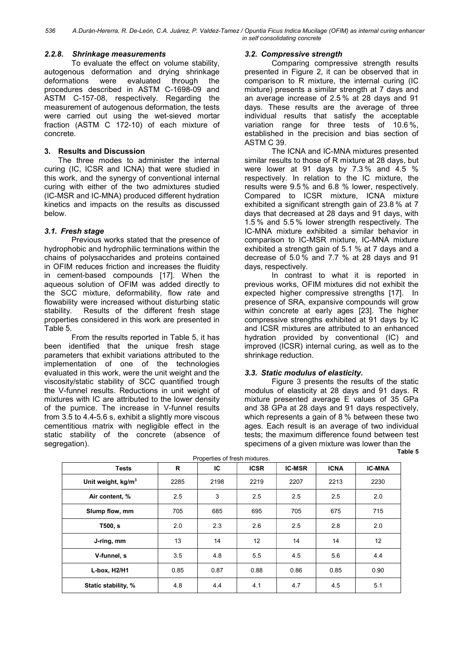## 2.2.8. Shrinkage measurements

To evaluate the effect on volume stability, autogenous deformation and drying shrinkage deformations were evaluated through the procedures described in ASTM C-1698-09 and ASTM C-157-08, respectively. Regarding the measurement of autogenous deformation, the tests were carried out using the wet-sieved mortar fraction (ASTM C 172-10) of each mixture of concrete.

## 3. Results and Discussion

The three modes to administer the internal curing (IC, ICSR and ICNA) that were studied in this work, and the synergy of conventional internal curing with either of the two admixtures studied (IC-MSR and IC-MNA) produced different hydration kinetics and impacts on the results as discussed below.

## 3.1. Fresh stage

Previous works stated that the presence of hydrophobic and hydrophilic terminations within the chains of polysaccharides and proteins contained in OFIM reduces friction and increases the fluidity in cement-based compounds [17]. When the aqueous solution of OFIM was added directly to the SCC mixture, deformability, flow rate and flowability were increased without disturbing static stability. Results of the different fresh stage properties considered in this work are presented in Table 5.

From the results reported in Table 5, it has been identified that the unique fresh stage parameters that exhibit variations attributed to the implementation of one of the technologies evaluated in this work, were the unit weight and the viscosity/static stability of SCC quantified trough the V-funnel results. Reductions in unit weight of mixtures with IC are attributed to the lower density of the pumice. The increase in V-funnel results from 3.5 to 4.4-5.6 s, exhibit a slightly more viscous cementitious matrix with negligible effect in the static stability of the concrete (absence of segregation).

## 3.2. Compressive strength

Comparing compressive strength results presented in Figure 2, it can be observed that in comparison to R mixture, the internal curing (IC mixture) presents a similar strength at 7 days and an average increase of 2.5 % at 28 days and 91 days. These results are the average of three individual results that satisfy the acceptable variation range for three tests of 10.6 %, established in the precision and bias section of ASTM C 39.

The ICNA and IC-MNA mixtures presented similar results to those of R mixture at 28 days, but were lower at 91 days by 7.3 % and 4.5 % respectively. In relation to the IC mixture, the results were 9.5 % and 6.8 % lower, respectively. Compared to ICSR mixture, ICNA mixture exhibited a significant strength gain of 23.8 % at 7 days that decreased at 28 days and 91 days, with 1.5 % and 5.5 % lower strength respectively. The IC-MNA mixture exhibited a similar behavior in comparison to IC-MSR mixture, IC-MNA mixture exhibited a strength gain of 5.1 % at 7 days and a decrease of 5.0 % and 7.7 % at 28 days and 91 days, respectively.

In contrast to what it is reported in previous works, OFIM mixtures did not exhibit the expected higher compressive strengths [17]. In presence of SRA, expansive compounds will grow within concrete at early ages [23]. The higher compressive strengths exhibited at 91 days by IC and ICSR mixtures are attributed to an enhanced hydration provided by conventional (IC) and improved (ICSR) internal curing, as well as to the shrinkage reduction.

## 3.3. Static modulus of elasticity.

Figure 3 presents the results of the static modulus of elasticity at 28 days and 91 days. R mixture presented average E values of 35 GPa and 38 GPa at 28 days and 91 days respectively, which represents a gain of 8 % between these two ages. Each result is an average of two individual tests; the maximum difference found between test specimens of a given mixture was lower than the Table 5

| <b>Tests</b>         | R    | IС   | <b>ICSR</b> | <b>IC-MSR</b> | <b>ICNA</b> | <b>IC-MNA</b> |
|----------------------|------|------|-------------|---------------|-------------|---------------|
| Unit weight, $kg/m3$ | 2285 | 2198 | 2219        | 2207          | 2213        | 2230          |
| Air content, %       | 2.5  | 3    | 2.5         | 2.5           | 2.5         | 2.0           |
| Slump flow, mm       | 705  | 685  | 695         | 705           | 675         | 715           |
| T500, s              | 2.0  | 2.3  | 2.6         | 2.5           | 2.8         | 2.0           |
| J-ring, mm           | 13   | 14   | 12          | 14            | 14          | 12            |
| V-funnel, s          | 3.5  | 4.8  | 5.5         | 4.5           | 5.6         | 4.4           |
| L-box, H2/H1         | 0.85 | 0.87 | 0.88        | 0.86          | 0.85        | 0.90          |
| Static stability, %  | 4.8  | 4.4  | 4.1         | 4.7           | 4.5         | 5.1           |

Properties of fresh mixtures.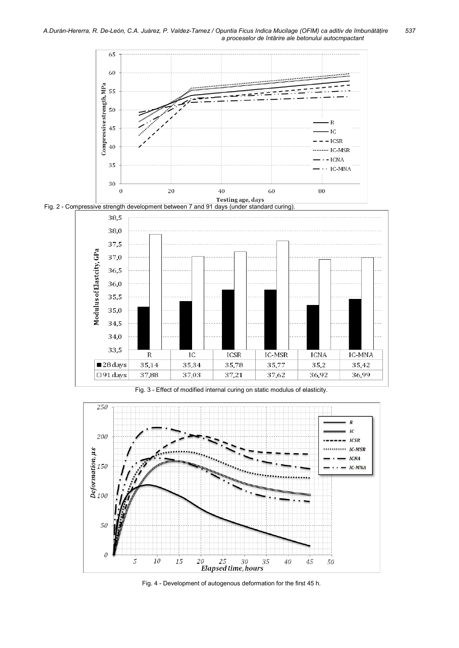



Fig. 3 - Effect of modified internal curing on static modulus of elasticity.



Fig. 4 - Development of autogenous deformation for the first 45 h.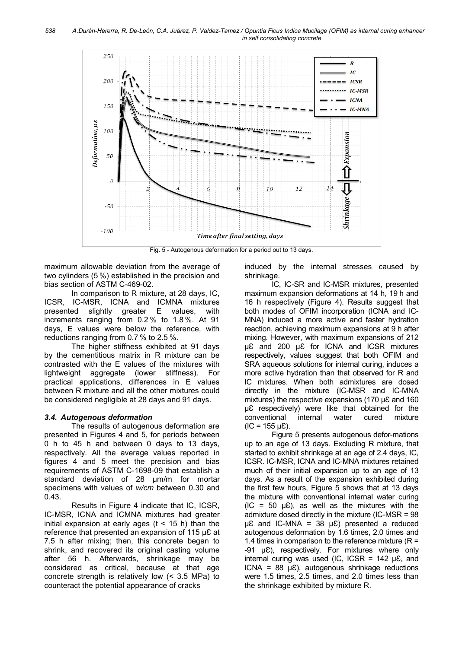

Fig. 5 - Autogenous deformation for a period out to 13 days.

maximum allowable deviation from the average of two cylinders (5 %) established in the precision and bias section of ASTM C-469-02.

In comparison to R mixture, at 28 days, IC, ICSR, IC-MSR, ICNA and ICMNA mixtures presented slightly greater E values, with increments ranging from 0.2 % to 1.8 %. At 91 days, E values were below the reference, with reductions ranging from 0.7 % to 2.5 %.

The higher stiffness exhibited at 91 days by the cementitious matrix in R mixture can be contrasted with the E values of the mixtures with lightweight aggregate (lower stiffness). For practical applications, differences in E values between R mixture and all the other mixtures could be considered negligible at 28 days and 91 days.

## 3.4. Autogenous deformation

The results of autogenous deformation are presented in Figures 4 and 5, for periods between 0 h to 45 h and between 0 days to 13 days, respectively. All the average values reported in figures 4 and 5 meet the precision and bias requirements of ASTM C-1698-09 that establish a standard deviation of 28 μm/m for mortar specimens with values of w/cm between 0.30 and 0.43.

Results in Figure 4 indicate that IC, ICSR, IC-MSR, ICNA and ICMNA mixtures had greater initial expansion at early ages  $(t < 15 h)$  than the reference that presented an expansion of 115  $\mu$ E at 7.5 h after mixing; then, this concrete began to shrink, and recovered its original casting volume after 56 h. Afterwards, shrinkage may be considered as critical, because at that age concrete strength is relatively low (< 3.5 MPa) to counteract the potential appearance of cracks

induced by the internal stresses caused by shrinkage.

IC, IC-SR and IC-MSR mixtures, presented maximum expansion deformations at 14 h, 19 h and 16 h respectively (Figure 4). Results suggest that both modes of OFIM incorporation (ICNA and IC-MNA) induced a more active and faster hydration reaction, achieving maximum expansions at 9 h after mixing. However, with maximum expansions of 212 µƐ and 200 µƐ for ICNA and ICSR mixtures respectively, values suggest that both OFIM and SRA aqueous solutions for internal curing, induces a more active hydration than that observed for R and IC mixtures. When both admixtures are dosed directly in the mixture (IC-MSR and IC-MNA mixtures) the respective expansions (170 µ & and 160 µƐ respectively) were like that obtained for the conventional internal water cured mixture  $(IC = 155 \text{ uE}).$ 

Figure 5 presents autogenous defor-mations up to an age of 13 days. Excluding R mixture, that started to exhibit shrinkage at an age of 2.4 days, IC, ICSR. IC-MSR, ICNA and IC-MNA mixtures retained much of their initial expansion up to an age of 13 days. As a result of the expansion exhibited during the first few hours, Figure 5 shows that at 13 days the mixture with conventional internal water curing  $(IC = 50 \mu\text{E})$ , as well as the mixtures with the admixture dosed directly in the mixture (IC-MSR = 98  $\mu$ <sup> $\epsilon$ </sup> and IC-MNA = 38  $\mu$  $\epsilon$ ) presented a reduced autogenous deformation by 1.6 times, 2.0 times and 1.4 times in comparison to the reference mixture ( $R =$ -91 µƐ), respectively. For mixtures where only internal curing was used (IC, ICSR =  $142 \mu \text{E}$ , and ICNA =  $88 \mu\text{E}$ ), autogenous shrinkage reductions were 1.5 times, 2.5 times, and 2.0 times less than the shrinkage exhibited by mixture R.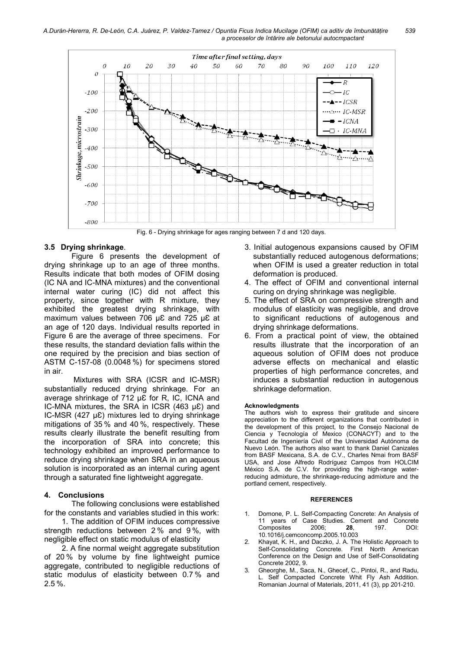

Fig. 6 - Drying shrinkage for ages ranging between 7 d and 120 days.

### 3.5 Drying shrinkage.

Figure 6 presents the development of drying shrinkage up to an age of three months. Results indicate that both modes of OFIM dosing (IC NA and IC-MNA mixtures) and the conventional internal water curing (IC) did not affect this property, since together with R mixture, they exhibited the greatest drying shrinkage, with maximum values between 706 µ£ and 725 µ£ at an age of 120 days. Individual results reported in Figure 6 are the average of three specimens. For these results, the standard deviation falls within the one required by the precision and bias section of ASTM C-157-08 (0.0048 %) for specimens stored in air.

 Mixtures with SRA (ICSR and IC-MSR) substantially reduced drying shrinkage. For an average shrinkage of 712 µƐ for R, IC, ICNA and IC-MNA mixtures, the SRA in ICSR (463 µE) and IC-MSR (427  $\mu$ E) mixtures led to drying shrinkage mitigations of 35 % and 40 %, respectively. These results clearly illustrate the benefit resulting from the incorporation of SRA into concrete; this technology exhibited an improved performance to reduce drying shrinkage when SRA in an aqueous solution is incorporated as an internal curing agent through a saturated fine lightweight aggregate.

### 4. Conclusions

The following conclusions were established for the constants and variables studied in this work:

1. The addition of OFIM induces compressive strength reductions between 2 % and 9 %, with negligible effect on static modulus of elasticity

2. A fine normal weight aggregate substitution of 20 % by volume by fine lightweight pumice aggregate, contributed to negligible reductions of static modulus of elasticity between 0.7 % and 2.5 %.

- 3. Initial autogenous expansions caused by OFIM substantially reduced autogenous deformations; when OFIM is used a greater reduction in total deformation is produced.
- 4. The effect of OFIM and conventional internal curing on drying shrinkage was negligible.
- 5. The effect of SRA on compressive strength and modulus of elasticity was negligible, and drove to significant reductions of autogenous and drying shrinkage deformations.
- 6. From a practical point of view, the obtained results illustrate that the incorporation of an aqueous solution of OFIM does not produce adverse effects on mechanical and elastic properties of high performance concretes, and induces a substantial reduction in autogenous shrinkage deformation.

#### Acknowledgments

The authors wish to express their gratitude and sincere appreciation to the different organizations that contributed in the development of this project, to the Consejo Nacional de Ciencia y Tecnología of Mexico (CONACYT) and to the Facultad de Ingeniería Civil of the Universidad Autónoma de Nuevo León. The authors also want to thank Daniel Canizales from BASF Mexicana, S.A. de C.V., Charles Nmai from BASF USA, and Jose Alfredo Rodríguez Campos from HOLCIM México S.A. de C.V. for providing the high-range waterreducing admixture, the shrinkage-reducing admixture and the portland cement, respectively.

#### **REFERENCES**

- 1. Domone, P. L. Self-Compacting Concrete: An Analysis of 11 years of Case Studies. Cement and Concrete<br>Composites 2006: 28. 197. DOI: Composites 2006; 28, 197, DOI: 10.1016/j.cemconcomp.2005.10.003
- 2. Khayat, K. H., and Daczko, J. A. The Holistic Approach to Self-Consolidating Concrete. First North American Conference on the Design and Use of Self-Consolidating Concrete 2002, 9.
- 3. Gheorghe, M., Saca, N., Ghecef, C., Pintoi, R., and Radu, L. Self Compacted Concrete Whit Fly Ash Addition. Romanian Journal of Materials, 2011, 41 (3), pp 201-210.